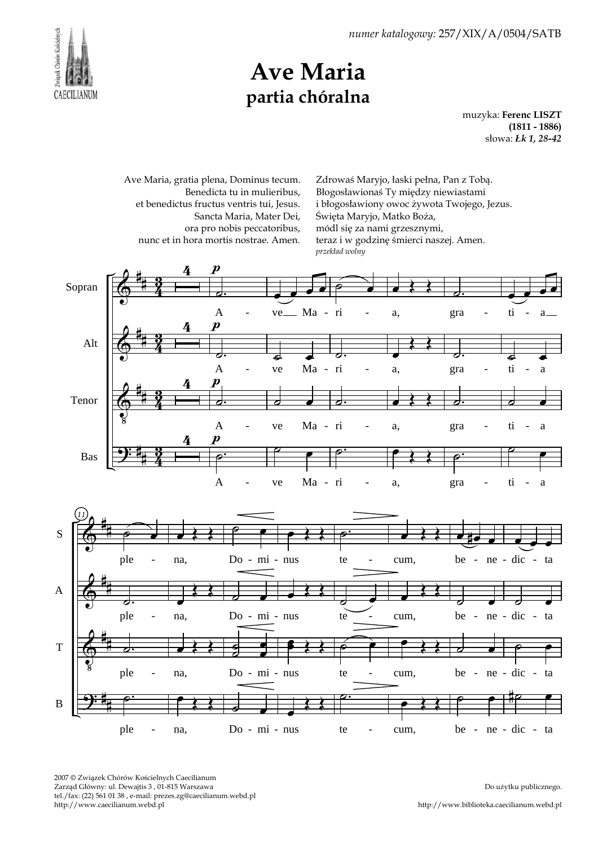

## Ave Maria partia chóralna

muzyka: Ferenc LISZT (1811 - 1886) słowa: Łk 1, 28-42

Ave Maria, gratia plena, Dominus tecum. Benedicta tu in mulieribus, et benedictus fructus ventris tui, Jesus. Sancta Maria, Mater Dei, ora pro nobis peccatoribus, nunc et in hora mortis nostrae. Amen.

Zdrowaś Maryjo, łaski pełna, Pan z Tobą. Błogosławionaś Ty między niewiastami i błogosławiony owoc żywota Twojego, Jezus. Święta Maryjo, Matko Boża, módl się za nami grzesznymi, teraz i w godzinę śmierci naszej. Amen. przekład wolny



- na, Do - mi - nus te - cum, be - ne - dic -

cum,

te

2007 © Związek Chórów Kościelnych Caecilianum Zarząd Główny: ul. Dewajtis 3 , 01-815 Warszawa tel./fax: (22) 561 01 38 , e-mail: prezes.zg@caecilianum.webd.pl http://www.caecilianum.webd.pl

na,

ple

Do użytku publicznego.

ne - dic - ta

be -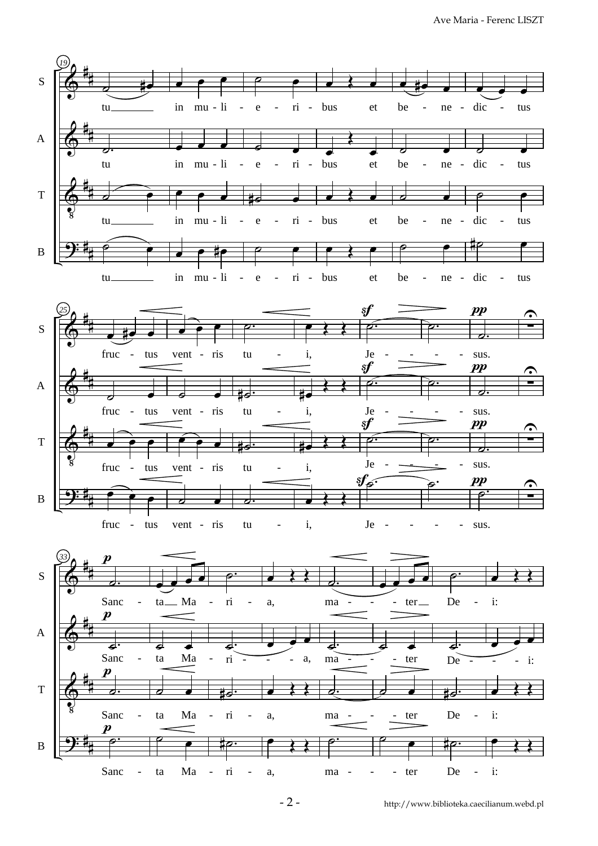Ave Maria - Ferenc LISZT



 $\overline{C}$ 

- ta Ma - ri - a, ma - - - ter De -

- ta Ma - ri - a, ma - - - ter De -

ma -

<u>۔</u>

ma

a,

œ

a,

 $\overline{\mathbf{P}}$ 

B

# #  $\boldsymbol{p}$ 

Sanc

ta Ma

ta Ma

œ

ri

to.

ri

ِ<br>ص

˙.

Sanc

De

i:

œ

i:

 $\overline{\mathbf{t}}$ 

 $\sharp \rho \colon$ 

De

ter

œ

ter

˙